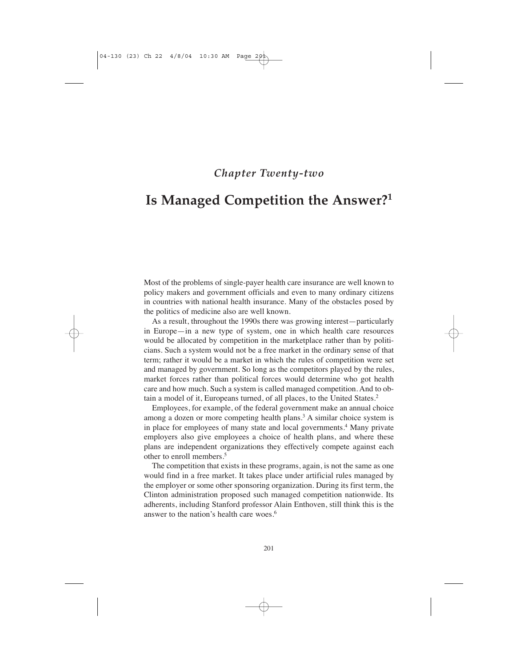# **Is Managed Competition the Answer?1**

Most of the problems of single-payer health care insurance are well known to policy makers and government officials and even to many ordinary citizens in countries with national health insurance. Many of the obstacles posed by the politics of medicine also are well known.

As a result, throughout the 1990s there was growing interest—particularly in Europe—in a new type of system, one in which health care resources would be allocated by competition in the marketplace rather than by politicians. Such a system would not be a free market in the ordinary sense of that term; rather it would be a market in which the rules of competition were set and managed by government. So long as the competitors played by the rules, market forces rather than political forces would determine who got health care and how much. Such a system is called managed competition. And to obtain a model of it, Europeans turned, of all places, to the United States.2

Employees, for example, of the federal government make an annual choice among a dozen or more competing health plans.<sup>3</sup> A similar choice system is in place for employees of many state and local governments.<sup>4</sup> Many private employers also give employees a choice of health plans, and where these plans are independent organizations they effectively compete against each other to enroll members.5

The competition that exists in these programs, again, is not the same as one would find in a free market. It takes place under artificial rules managed by the employer or some other sponsoring organization. During its first term, the Clinton administration proposed such managed competition nationwide. Its adherents, including Stanford professor Alain Enthoven, still think this is the answer to the nation's health care woes.6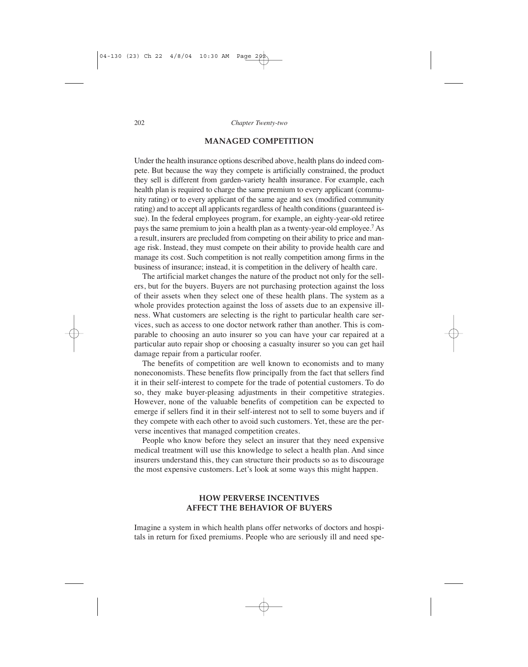#### **MANAGED COMPETITION**

Under the health insurance options described above, health plans do indeed compete. But because the way they compete is artificially constrained, the product they sell is different from garden-variety health insurance. For example, each health plan is required to charge the same premium to every applicant (community rating) or to every applicant of the same age and sex (modified community rating) and to accept all applicants regardless of health conditions (guaranteed issue). In the federal employees program, for example, an eighty-year-old retiree pays the same premium to join a health plan as a twenty-year-old employee.7 As a result, insurers are precluded from competing on their ability to price and manage risk. Instead, they must compete on their ability to provide health care and manage its cost. Such competition is not really competition among firms in the business of insurance; instead, it is competition in the delivery of health care.

The artificial market changes the nature of the product not only for the sellers, but for the buyers. Buyers are not purchasing protection against the loss of their assets when they select one of these health plans. The system as a whole provides protection against the loss of assets due to an expensive illness. What customers are selecting is the right to particular health care services, such as access to one doctor network rather than another. This is comparable to choosing an auto insurer so you can have your car repaired at a particular auto repair shop or choosing a casualty insurer so you can get hail damage repair from a particular roofer.

The benefits of competition are well known to economists and to many noneconomists. These benefits flow principally from the fact that sellers find it in their self-interest to compete for the trade of potential customers. To do so, they make buyer-pleasing adjustments in their competitive strategies. However, none of the valuable benefits of competition can be expected to emerge if sellers find it in their self-interest not to sell to some buyers and if they compete with each other to avoid such customers. Yet, these are the perverse incentives that managed competition creates.

People who know before they select an insurer that they need expensive medical treatment will use this knowledge to select a health plan. And since insurers understand this, they can structure their products so as to discourage the most expensive customers. Let's look at some ways this might happen.

## **HOW PERVERSE INCENTIVES AFFECT THE BEHAVIOR OF BUYERS**

Imagine a system in which health plans offer networks of doctors and hospitals in return for fixed premiums. People who are seriously ill and need spe-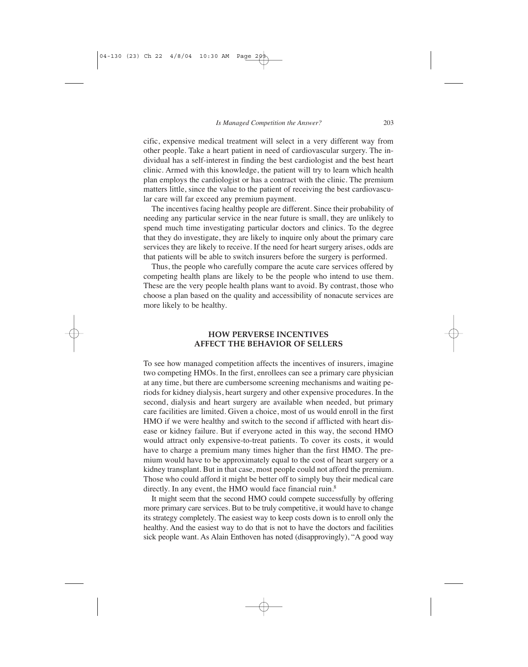#### *Is Managed Competition the Answer?* 203

04-130 (23) Ch 22 4/8/04 10:30 AM Page

cific, expensive medical treatment will select in a very different way from other people. Take a heart patient in need of cardiovascular surgery. The individual has a self-interest in finding the best cardiologist and the best heart clinic. Armed with this knowledge, the patient will try to learn which health plan employs the cardiologist or has a contract with the clinic. The premium matters little, since the value to the patient of receiving the best cardiovascular care will far exceed any premium payment.

The incentives facing healthy people are different. Since their probability of needing any particular service in the near future is small, they are unlikely to spend much time investigating particular doctors and clinics. To the degree that they do investigate, they are likely to inquire only about the primary care services they are likely to receive. If the need for heart surgery arises, odds are that patients will be able to switch insurers before the surgery is performed.

Thus, the people who carefully compare the acute care services offered by competing health plans are likely to be the people who intend to use them. These are the very people health plans want to avoid. By contrast, those who choose a plan based on the quality and accessibility of nonacute services are more likely to be healthy.

## **HOW PERVERSE INCENTIVES AFFECT THE BEHAVIOR OF SELLERS**

To see how managed competition affects the incentives of insurers, imagine two competing HMOs. In the first, enrollees can see a primary care physician at any time, but there are cumbersome screening mechanisms and waiting periods for kidney dialysis, heart surgery and other expensive procedures. In the second, dialysis and heart surgery are available when needed, but primary care facilities are limited. Given a choice, most of us would enroll in the first HMO if we were healthy and switch to the second if afflicted with heart disease or kidney failure. But if everyone acted in this way, the second HMO would attract only expensive-to-treat patients. To cover its costs, it would have to charge a premium many times higher than the first HMO. The premium would have to be approximately equal to the cost of heart surgery or a kidney transplant. But in that case, most people could not afford the premium. Those who could afford it might be better off to simply buy their medical care directly. In any event, the HMO would face financial ruin.<sup>8</sup>

It might seem that the second HMO could compete successfully by offering more primary care services. But to be truly competitive, it would have to change its strategy completely. The easiest way to keep costs down is to enroll only the healthy. And the easiest way to do that is not to have the doctors and facilities sick people want. As Alain Enthoven has noted (disapprovingly), "A good way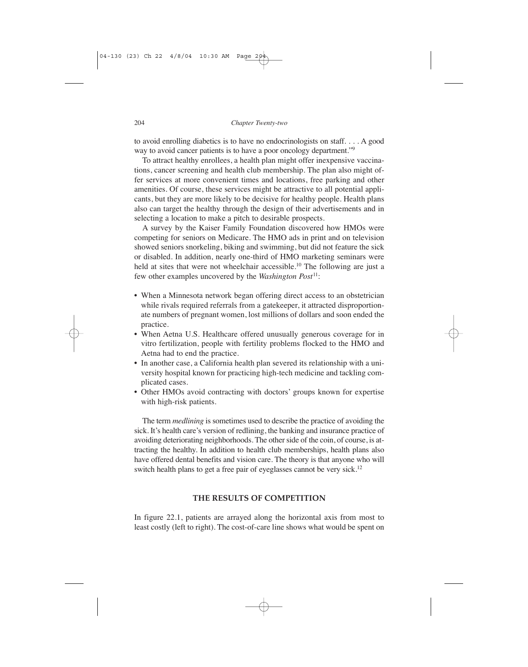to avoid enrolling diabetics is to have no endocrinologists on staff. . . . A good way to avoid cancer patients is to have a poor oncology department."<sup>9</sup>

To attract healthy enrollees, a health plan might offer inexpensive vaccinations, cancer screening and health club membership. The plan also might offer services at more convenient times and locations, free parking and other amenities. Of course, these services might be attractive to all potential applicants, but they are more likely to be decisive for healthy people. Health plans also can target the healthy through the design of their advertisements and in selecting a location to make a pitch to desirable prospects.

A survey by the Kaiser Family Foundation discovered how HMOs were competing for seniors on Medicare. The HMO ads in print and on television showed seniors snorkeling, biking and swimming, but did not feature the sick or disabled. In addition, nearly one-third of HMO marketing seminars were held at sites that were not wheelchair accessible.<sup>10</sup> The following are just a few other examples uncovered by the *Washington Post*11:

- When a Minnesota network began offering direct access to an obstetrician while rivals required referrals from a gatekeeper, it attracted disproportionate numbers of pregnant women, lost millions of dollars and soon ended the practice.
- When Aetna U.S. Healthcare offered unusually generous coverage for in vitro fertilization, people with fertility problems flocked to the HMO and Aetna had to end the practice.
- In another case, a California health plan severed its relationship with a university hospital known for practicing high-tech medicine and tackling complicated cases.
- Other HMOs avoid contracting with doctors' groups known for expertise with high-risk patients.

The term *medlining* is sometimes used to describe the practice of avoiding the sick. It's health care's version of redlining, the banking and insurance practice of avoiding deteriorating neighborhoods. The other side of the coin, of course, is attracting the healthy. In addition to health club memberships, health plans also have offered dental benefits and vision care. The theory is that anyone who will switch health plans to get a free pair of eyeglasses cannot be very sick.<sup>12</sup>

## **THE RESULTS OF COMPETITION**

In figure 22.1, patients are arrayed along the horizontal axis from most to least costly (left to right). The cost-of-care line shows what would be spent on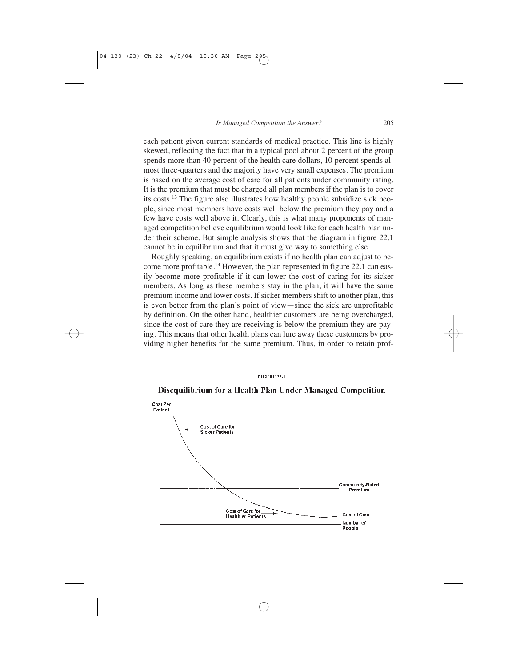each patient given current standards of medical practice. This line is highly skewed, reflecting the fact that in a typical pool about 2 percent of the group spends more than 40 percent of the health care dollars, 10 percent spends almost three-quarters and the majority have very small expenses. The premium is based on the average cost of care for all patients under community rating. It is the premium that must be charged all plan members if the plan is to cover its costs.13 The figure also illustrates how healthy people subsidize sick people, since most members have costs well below the premium they pay and a few have costs well above it. Clearly, this is what many proponents of managed competition believe equilibrium would look like for each health plan under their scheme. But simple analysis shows that the diagram in figure 22.1 cannot be in equilibrium and that it must give way to something else.

Roughly speaking, an equilibrium exists if no health plan can adjust to become more profitable.14 However, the plan represented in figure 22.1 can easily become more profitable if it can lower the cost of caring for its sicker members. As long as these members stay in the plan, it will have the same premium income and lower costs. If sicker members shift to another plan, this is even better from the plan's point of view—since the sick are unprofitable by definition. On the other hand, healthier customers are being overcharged, since the cost of care they are receiving is below the premium they are paying. This means that other health plans can lure away these customers by providing higher benefits for the same premium. Thus, in order to retain prof-



**FIGURE 22-1** 

Disequilibrium for a Health Plan Under Managed Competition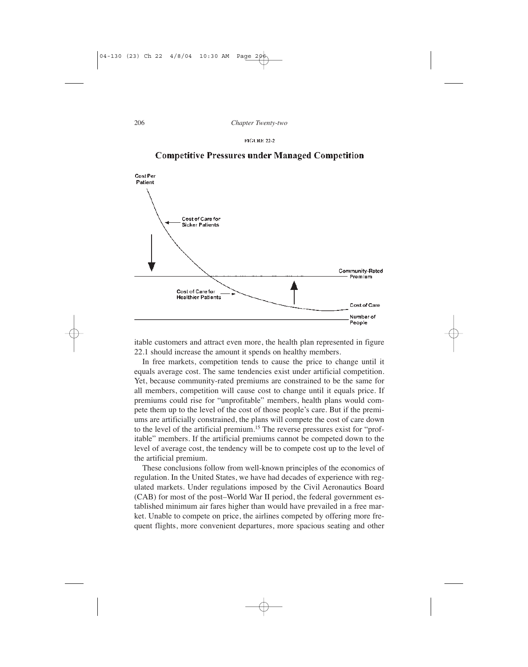#### **FIGURE 22-2**





itable customers and attract even more, the health plan represented in figure 22.1 should increase the amount it spends on healthy members.

In free markets, competition tends to cause the price to change until it equals average cost. The same tendencies exist under artificial competition. Yet, because community-rated premiums are constrained to be the same for all members, competition will cause cost to change until it equals price. If premiums could rise for "unprofitable" members, health plans would compete them up to the level of the cost of those people's care. But if the premiums are artificially constrained, the plans will compete the cost of care down to the level of the artificial premium.15 The reverse pressures exist for "profitable" members. If the artificial premiums cannot be competed down to the level of average cost, the tendency will be to compete cost up to the level of the artificial premium.

These conclusions follow from well-known principles of the economics of regulation. In the United States, we have had decades of experience with regulated markets. Under regulations imposed by the Civil Aeronautics Board (CAB) for most of the post–World War II period, the federal government established minimum air fares higher than would have prevailed in a free market. Unable to compete on price, the airlines competed by offering more frequent flights, more convenient departures, more spacious seating and other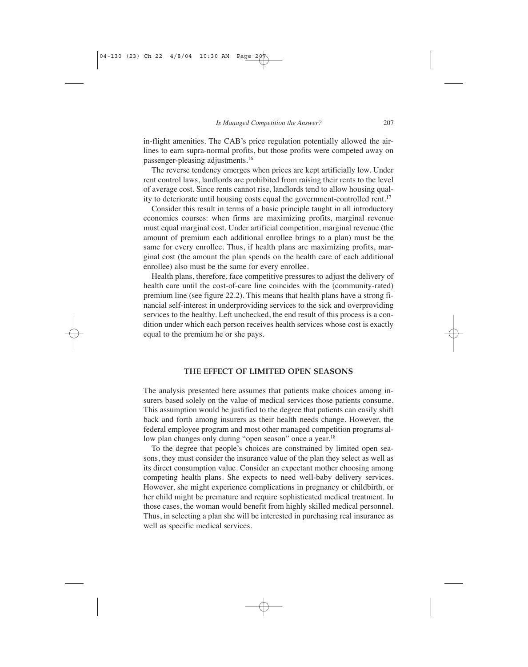04-130 (23) Ch 22 4/8/04 10:30 AM Page

in-flight amenities. The CAB's price regulation potentially allowed the airlines to earn supra-normal profits, but those profits were competed away on passenger-pleasing adjustments.16

The reverse tendency emerges when prices are kept artificially low. Under rent control laws, landlords are prohibited from raising their rents to the level of average cost. Since rents cannot rise, landlords tend to allow housing quality to deteriorate until housing costs equal the government-controlled rent.17

Consider this result in terms of a basic principle taught in all introductory economics courses: when firms are maximizing profits, marginal revenue must equal marginal cost. Under artificial competition, marginal revenue (the amount of premium each additional enrollee brings to a plan) must be the same for every enrollee. Thus, if health plans are maximizing profits, marginal cost (the amount the plan spends on the health care of each additional enrollee) also must be the same for every enrollee.

Health plans, therefore, face competitive pressures to adjust the delivery of health care until the cost-of-care line coincides with the (community-rated) premium line (see figure 22.2). This means that health plans have a strong financial self-interest in underproviding services to the sick and overproviding services to the healthy. Left unchecked, the end result of this process is a condition under which each person receives health services whose cost is exactly equal to the premium he or she pays.

## **THE EFFECT OF LIMITED OPEN SEASONS**

The analysis presented here assumes that patients make choices among insurers based solely on the value of medical services those patients consume. This assumption would be justified to the degree that patients can easily shift back and forth among insurers as their health needs change. However, the federal employee program and most other managed competition programs allow plan changes only during "open season" once a year.<sup>18</sup>

To the degree that people's choices are constrained by limited open seasons, they must consider the insurance value of the plan they select as well as its direct consumption value. Consider an expectant mother choosing among competing health plans. She expects to need well-baby delivery services. However, she might experience complications in pregnancy or childbirth, or her child might be premature and require sophisticated medical treatment. In those cases, the woman would benefit from highly skilled medical personnel. Thus, in selecting a plan she will be interested in purchasing real insurance as well as specific medical services.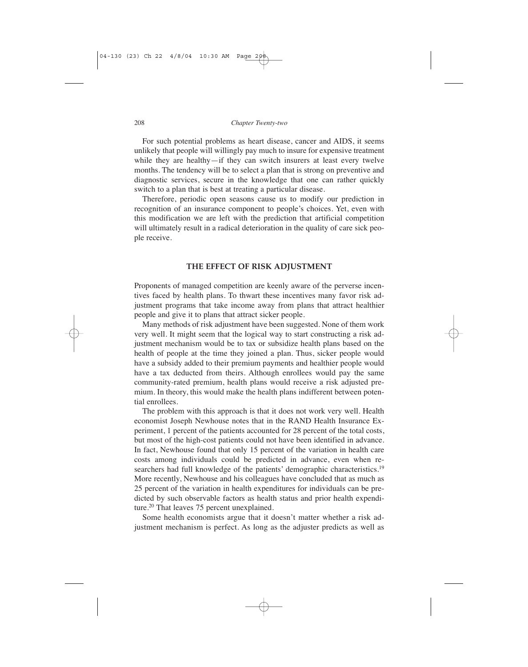For such potential problems as heart disease, cancer and AIDS, it seems unlikely that people will willingly pay much to insure for expensive treatment while they are healthy—if they can switch insurers at least every twelve months. The tendency will be to select a plan that is strong on preventive and diagnostic services, secure in the knowledge that one can rather quickly switch to a plan that is best at treating a particular disease.

Therefore, periodic open seasons cause us to modify our prediction in recognition of an insurance component to people's choices. Yet, even with this modification we are left with the prediction that artificial competition will ultimately result in a radical deterioration in the quality of care sick people receive.

### **THE EFFECT OF RISK ADJUSTMENT**

Proponents of managed competition are keenly aware of the perverse incentives faced by health plans. To thwart these incentives many favor risk adjustment programs that take income away from plans that attract healthier people and give it to plans that attract sicker people.

Many methods of risk adjustment have been suggested. None of them work very well. It might seem that the logical way to start constructing a risk adjustment mechanism would be to tax or subsidize health plans based on the health of people at the time they joined a plan. Thus, sicker people would have a subsidy added to their premium payments and healthier people would have a tax deducted from theirs. Although enrollees would pay the same community-rated premium, health plans would receive a risk adjusted premium. In theory, this would make the health plans indifferent between potential enrollees.

The problem with this approach is that it does not work very well. Health economist Joseph Newhouse notes that in the RAND Health Insurance Experiment, 1 percent of the patients accounted for 28 percent of the total costs, but most of the high-cost patients could not have been identified in advance. In fact, Newhouse found that only 15 percent of the variation in health care costs among individuals could be predicted in advance, even when researchers had full knowledge of the patients' demographic characteristics.<sup>19</sup> More recently, Newhouse and his colleagues have concluded that as much as 25 percent of the variation in health expenditures for individuals can be predicted by such observable factors as health status and prior health expenditure.20 That leaves 75 percent unexplained.

Some health economists argue that it doesn't matter whether a risk adjustment mechanism is perfect. As long as the adjuster predicts as well as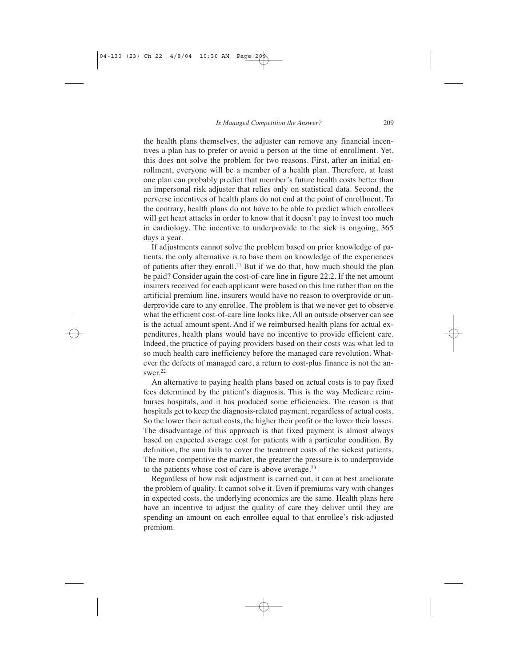#### *Is Managed Competition the Answer?* 209

the health plans themselves, the adjuster can remove any financial incentives a plan has to prefer or avoid a person at the time of enrollment. Yet, this does not solve the problem for two reasons. First, after an initial enrollment, everyone will be a member of a health plan. Therefore, at least one plan can probably predict that member's future health costs better than an impersonal risk adjuster that relies only on statistical data. Second, the perverse incentives of health plans do not end at the point of enrollment. To the contrary, health plans do not have to be able to predict which enrollees will get heart attacks in order to know that it doesn't pay to invest too much in cardiology. The incentive to underprovide to the sick is ongoing, 365 days a year.

If adjustments cannot solve the problem based on prior knowledge of patients, the only alternative is to base them on knowledge of the experiences of patients after they enroll.<sup>21</sup> But if we do that, how much should the plan be paid? Consider again the cost-of-care line in figure 22.2. If the net amount insurers received for each applicant were based on this line rather than on the artificial premium line, insurers would have no reason to overprovide or underprovide care to any enrollee. The problem is that we never get to observe what the efficient cost-of-care line looks like. All an outside observer can see is the actual amount spent. And if we reimbursed health plans for actual expenditures, health plans would have no incentive to provide efficient care. Indeed, the practice of paying providers based on their costs was what led to so much health care inefficiency before the managed care revolution. Whatever the defects of managed care, a return to cost-plus finance is not the answer.<sup>22</sup>

An alternative to paying health plans based on actual costs is to pay fixed fees determined by the patient's diagnosis. This is the way Medicare reimburses hospitals, and it has produced some efficiencies. The reason is that hospitals get to keep the diagnosis-related payment, regardless of actual costs. So the lower their actual costs, the higher their profit or the lower their losses. The disadvantage of this approach is that fixed payment is almost always based on expected average cost for patients with a particular condition. By definition, the sum fails to cover the treatment costs of the sickest patients. The more competitive the market, the greater the pressure is to underprovide to the patients whose cost of care is above average.23

Regardless of how risk adjustment is carried out, it can at best ameliorate the problem of quality. It cannot solve it. Even if premiums vary with changes in expected costs, the underlying economics are the same. Health plans here have an incentive to adjust the quality of care they deliver until they are spending an amount on each enrollee equal to that enrollee's risk-adjusted premium.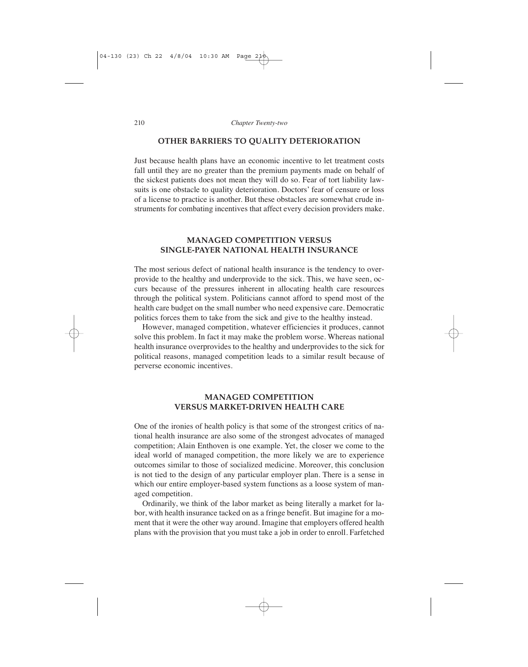## **OTHER BARRIERS TO QUALITY DETERIORATION**

Just because health plans have an economic incentive to let treatment costs fall until they are no greater than the premium payments made on behalf of the sickest patients does not mean they will do so. Fear of tort liability lawsuits is one obstacle to quality deterioration. Doctors' fear of censure or loss of a license to practice is another. But these obstacles are somewhat crude instruments for combating incentives that affect every decision providers make.

## **MANAGED COMPETITION VERSUS SINGLE-PAYER NATIONAL HEALTH INSURANCE**

The most serious defect of national health insurance is the tendency to overprovide to the healthy and underprovide to the sick. This, we have seen, occurs because of the pressures inherent in allocating health care resources through the political system. Politicians cannot afford to spend most of the health care budget on the small number who need expensive care. Democratic politics forces them to take from the sick and give to the healthy instead.

However, managed competition, whatever efficiencies it produces, cannot solve this problem. In fact it may make the problem worse. Whereas national health insurance overprovides to the healthy and underprovides to the sick for political reasons, managed competition leads to a similar result because of perverse economic incentives.

## **MANAGED COMPETITION VERSUS MARKET-DRIVEN HEALTH CARE**

One of the ironies of health policy is that some of the strongest critics of national health insurance are also some of the strongest advocates of managed competition; Alain Enthoven is one example. Yet, the closer we come to the ideal world of managed competition, the more likely we are to experience outcomes similar to those of socialized medicine. Moreover, this conclusion is not tied to the design of any particular employer plan. There is a sense in which our entire employer-based system functions as a loose system of managed competition.

Ordinarily, we think of the labor market as being literally a market for labor, with health insurance tacked on as a fringe benefit. But imagine for a moment that it were the other way around. Imagine that employers offered health plans with the provision that you must take a job in order to enroll. Farfetched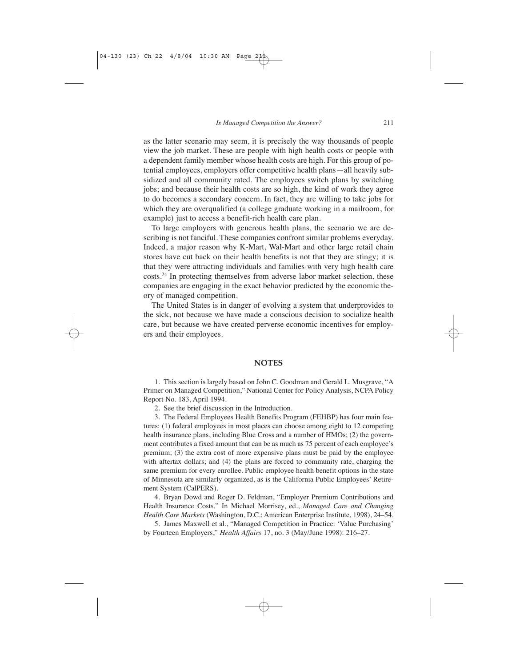as the latter scenario may seem, it is precisely the way thousands of people view the job market. These are people with high health costs or people with a dependent family member whose health costs are high. For this group of potential employees, employers offer competitive health plans—all heavily subsidized and all community rated. The employees switch plans by switching jobs; and because their health costs are so high, the kind of work they agree to do becomes a secondary concern. In fact, they are willing to take jobs for which they are overqualified (a college graduate working in a mailroom, for example) just to access a benefit-rich health care plan.

To large employers with generous health plans, the scenario we are describing is not fanciful. These companies confront similar problems everyday. Indeed, a major reason why K-Mart, Wal-Mart and other large retail chain stores have cut back on their health benefits is not that they are stingy; it is that they were attracting individuals and families with very high health care costs.24 In protecting themselves from adverse labor market selection, these companies are engaging in the exact behavior predicted by the economic theory of managed competition.

The United States is in danger of evolving a system that underprovides to the sick, not because we have made a conscious decision to socialize health care, but because we have created perverse economic incentives for employers and their employees.

#### **NOTES**

1. This section is largely based on John C. Goodman and Gerald L. Musgrave, "A Primer on Managed Competition," National Center for Policy Analysis, NCPA Policy Report No. 183, April 1994.

2. See the brief discussion in the Introduction.

3. The Federal Employees Health Benefits Program (FEHBP) has four main features: (1) federal employees in most places can choose among eight to 12 competing health insurance plans, including Blue Cross and a number of HMOs; (2) the government contributes a fixed amount that can be as much as 75 percent of each employee's premium; (3) the extra cost of more expensive plans must be paid by the employee with aftertax dollars; and (4) the plans are forced to community rate, charging the same premium for every enrollee. Public employee health benefit options in the state of Minnesota are similarly organized, as is the California Public Employees' Retirement System (CalPERS).

4. Bryan Dowd and Roger D. Feldman, "Employer Premium Contributions and Health Insurance Costs." In Michael Morrisey, ed., *Managed Care and Changing Health Care Markets* (Washington, D.C.: American Enterprise Institute, 1998), 24–54.

5. James Maxwell et al., "Managed Competition in Practice: 'Value Purchasing' by Fourteen Employers," *Health Affairs* 17, no. 3 (May/June 1998): 216–27.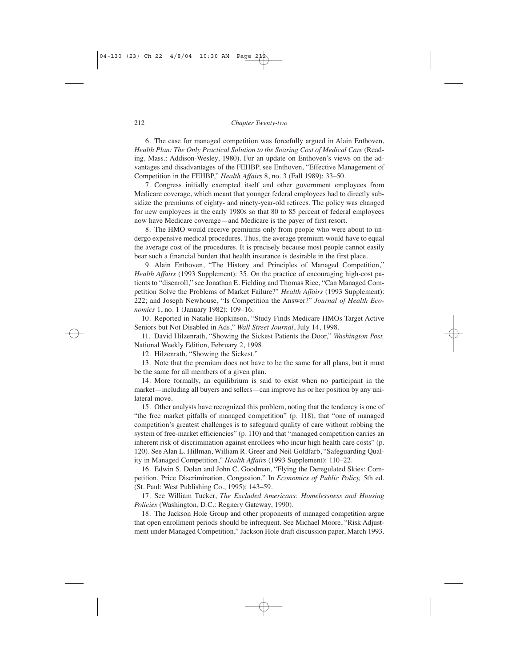6. The case for managed competition was forcefully argued in Alain Enthoven, *Health Plan: The Only Practical Solution to the Soaring Cost of Medical Care* (Reading, Mass.: Addison-Wesley, 1980). For an update on Enthoven's views on the advantages and disadvantages of the FEHBP, see Enthoven, "Effective Management of Competition in the FEHBP," *Health Affairs* 8, no. 3 (Fall 1989): 33–50.

7. Congress initially exempted itself and other government employees from Medicare coverage, which meant that younger federal employees had to directly subsidize the premiums of eighty- and ninety-year-old retirees. The policy was changed for new employees in the early 1980s so that 80 to 85 percent of federal employees now have Medicare coverage—and Medicare is the payer of first resort.

8. The HMO would receive premiums only from people who were about to undergo expensive medical procedures. Thus, the average premium would have to equal the average cost of the procedures. It is precisely because most people cannot easily bear such a financial burden that health insurance is desirable in the first place.

9. Alain Enthoven, "The History and Principles of Managed Competition," *Health Affairs* (1993 Supplement): 35. On the practice of encouraging high-cost patients to "disenroll," see Jonathan E. Fielding and Thomas Rice, "Can Managed Competition Solve the Problems of Market Failure?" *Health Affairs* (1993 Supplement): 222; and Joseph Newhouse, "Is Competition the Answer?" *Journal of Health Economics* 1, no. 1 (January 1982): 109–16.

10. Reported in Natalie Hopkinson, "Study Finds Medicare HMOs Target Active Seniors but Not Disabled in Ads," *Wall Street Journal*, July 14, 1998.

11. David Hilzenrath, "Showing the Sickest Patients the Door," *Washington Post,* National Weekly Edition, February 2, 1998.

12. Hilzenrath, "Showing the Sickest."

13. Note that the premium does not have to be the same for all plans, but it must be the same for all members of a given plan.

14. More formally, an equilibrium is said to exist when no participant in the market—including all buyers and sellers—can improve his or her position by any unilateral move.

15. Other analysts have recognized this problem, noting that the tendency is one of "the free market pitfalls of managed competition" (p. 118), that "one of managed competition's greatest challenges is to safeguard quality of care without robbing the system of free-market efficiencies" (p. 110) and that "managed competition carries an inherent risk of discrimination against enrollees who incur high health care costs" (p. 120). See Alan L. Hillman, William R. Greer and Neil Goldfarb, "Safeguarding Quality in Managed Competition," *Health Affairs* (1993 Supplement): 110–22.

16. Edwin S. Dolan and John C. Goodman, "Flying the Deregulated Skies: Competition, Price Discrimination, Congestion." In *Economics of Public Policy,* 5th ed. (St. Paul: West Publishing Co., 1995): 143–59.

17. See William Tucker, *The Excluded Americans: Homelessness and Housing Policies* (Washington, D.C.: Regnery Gateway, 1990).

18. The Jackson Hole Group and other proponents of managed competition argue that open enrollment periods should be infrequent. See Michael Moore, "Risk Adjustment under Managed Competition," Jackson Hole draft discussion paper, March 1993.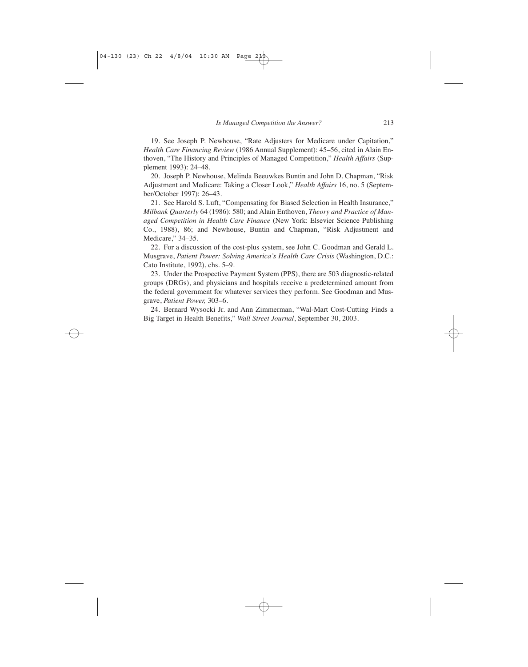#### *Is Managed Competition the Answer?* 213

19. See Joseph P. Newhouse, "Rate Adjusters for Medicare under Capitation," *Health Care Financing Review* (1986 Annual Supplement): 45–56, cited in Alain Enthoven, "The History and Principles of Managed Competition," *Health Affairs* (Supplement 1993): 24–48.

20. Joseph P. Newhouse, Melinda Beeuwkes Buntin and John D. Chapman, "Risk Adjustment and Medicare: Taking a Closer Look," *Health Affairs* 16, no. 5 (September/October 1997): 26–43.

21. See Harold S. Luft, "Compensating for Biased Selection in Health Insurance," *Milbank Quarterly* 64 (1986): 580; and Alain Enthoven, *Theory and Practice of Managed Competition in Health Care Finance* (New York: Elsevier Science Publishing Co., 1988), 86; and Newhouse, Buntin and Chapman, "Risk Adjustment and Medicare," 34–35.

22. For a discussion of the cost-plus system, see John C. Goodman and Gerald L. Musgrave, *Patient Power: Solving America's Health Care Crisis* (Washington, D.C.: Cato Institute, 1992), chs. 5–9.

23. Under the Prospective Payment System (PPS), there are 503 diagnostic-related groups (DRGs), and physicians and hospitals receive a predetermined amount from the federal government for whatever services they perform. See Goodman and Musgrave, *Patient Power,* 303–6.

24. Bernard Wysocki Jr. and Ann Zimmerman, "Wal-Mart Cost-Cutting Finds a Big Target in Health Benefits," *Wall Street Journal*, September 30, 2003.